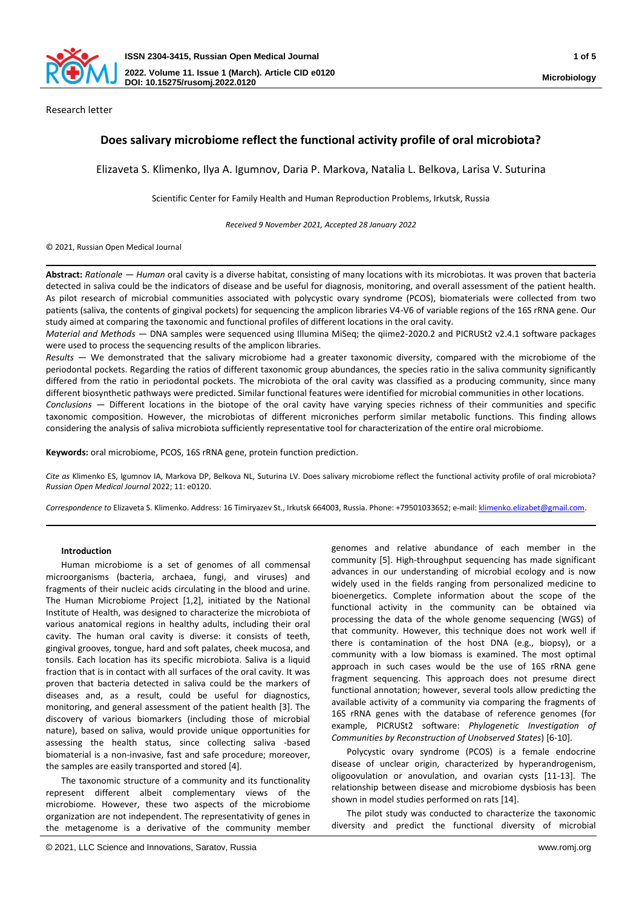

Research letter

# **Does salivary microbiome reflect the functional activity profile of oral microbiota?**

Elizaveta S. Klimenko, Ilya A. Igumnov, Daria P. Markova, Natalia L. Belkova, Larisa V. Suturina

Scientific Center for Family Health and Human Reproduction Problems, Irkutsk, Russia

*Received 9 November 2021, Accepted 28 January 2022*

# © 2021, Russian Open Medical Journal

**Abstract:** *Rationale — Human* oral cavity is a diverse habitat, consisting of many locations with its microbiotas. It was proven that bacteria detected in saliva could be the indicators of disease and be useful for diagnosis, monitoring, and overall assessment of the patient health. As pilot research of microbial communities associated with polycystic ovary syndrome (PCOS), biomaterials were collected from two patients (saliva, the contents of gingival pockets) for sequencing the amplicon libraries V4-V6 of variable regions of the 16S rRNA gene. Our study aimed at comparing the taxonomic and functional profiles of different locations in the oral cavity.

*Material and Methods —* DNA samples were sequenced using Illumina MiSeq; the qiime2-2020.2 and PICRUSt2 v2.4.1 software packages were used to process the sequencing results of the amplicon libraries.

*Results —* We demonstrated that the salivary microbiome had a greater taxonomic diversity, compared with the microbiome of the periodontal pockets. Regarding the ratios of different taxonomic group abundances, the species ratio in the saliva community significantly differed from the ratio in periodontal pockets. The microbiota of the oral cavity was classified as a producing community, since many different biosynthetic pathways were predicted. Similar functional features were identified for microbial communities in other locations.

*Conclusions —* Different locations in the biotope of the oral cavity have varying species richness of their communities and specific taxonomic composition. However, the microbiotas of different microniches perform similar metabolic functions. This finding allows considering the analysis of saliva microbiota sufficiently representative tool for characterization of the entire oral microbiome.

**Keywords:** oral microbiome, PCOS, 16S rRNA gene, protein function prediction.

*Cite as* Klimenko ES, Igumnov IA, Markova DP, Belkova NL, Suturina LV. Does salivary microbiome reflect the functional activity profile of oral microbiota? *Russian Open Medical Journal* 2022; 11: e0120.

*Correspondence to* Elizaveta S. Klimenko. Address: 16 Timiryazev St., Irkutsk 664003, Russia. Phone: +79501033652; e-mail[: klimenko.elizabet@gmail.com.](mailto:klimenko.elizabet@gmail.com)

# **Introduction**

Human microbiome is a set of genomes of all commensal microorganisms (bacteria, archaea, fungi, and viruses) and fragments of their nucleic acids circulating in the blood and urine. The Human Microbiome Project [1,2], initiated by the National Institute of Health, was designed to characterize the microbiota of various anatomical regions in healthy adults, including their oral cavity. The human oral cavity is diverse: it consists of teeth, gingival grooves, tongue, hard and soft palates, cheek mucosa, and tonsils. Each location has its specific microbiota. Saliva is a liquid fraction that is in contact with all surfaces of the oral cavity. It was proven that bacteria detected in saliva could be the markers of diseases and, as a result, could be useful for diagnostics, monitoring, and general assessment of the patient health [3]. The discovery of various biomarkers (including those of microbial nature), based on saliva, would provide unique opportunities for assessing the health status, since collecting saliva -based biomaterial is a non-invasive, fast and safe procedure; moreover, the samples are easily transported and stored [4].

The taxonomic structure of a community and its functionality represent different albeit complementary views of the microbiome. However, these two aspects of the microbiome organization are not independent. The representativity of genes in the metagenome is a derivative of the community member

© 2021, LLC Science and Innovations, Saratov, Russia www.romj.org

genomes and relative abundance of each member in the community [5]. High-throughput sequencing has made significant advances in our understanding of microbial ecology and is now widely used in the fields ranging from personalized medicine to bioenergetics. Complete information about the scope of the functional activity in the community can be obtained via processing the data of the whole genome sequencing (WGS) of that community. However, this technique does not work well if there is contamination of the host DNA (e.g., biopsy), or a community with a low biomass is examined. The most optimal approach in such cases would be the use of 16S rRNA gene fragment sequencing. This approach does not presume direct functional annotation; however, several tools allow predicting the available activity of a community via comparing the fragments of 16S rRNA genes with the database of reference genomes (for example, PICRUSt2 software: *Phylogenetic Investigation of Communities by Reconstruction of Unobserved States*) [6-10].

Polycystic ovary syndrome (PCOS) is a female endocrine disease of unclear origin, characterized by hyperandrogenism, oligoovulation or anovulation, and ovarian cysts [11-13]. The relationship between disease and microbiome dysbiosis has been shown in model studies performed on rats [14].

The pilot study was conducted to characterize the taxonomic diversity and predict the functional diversity of microbial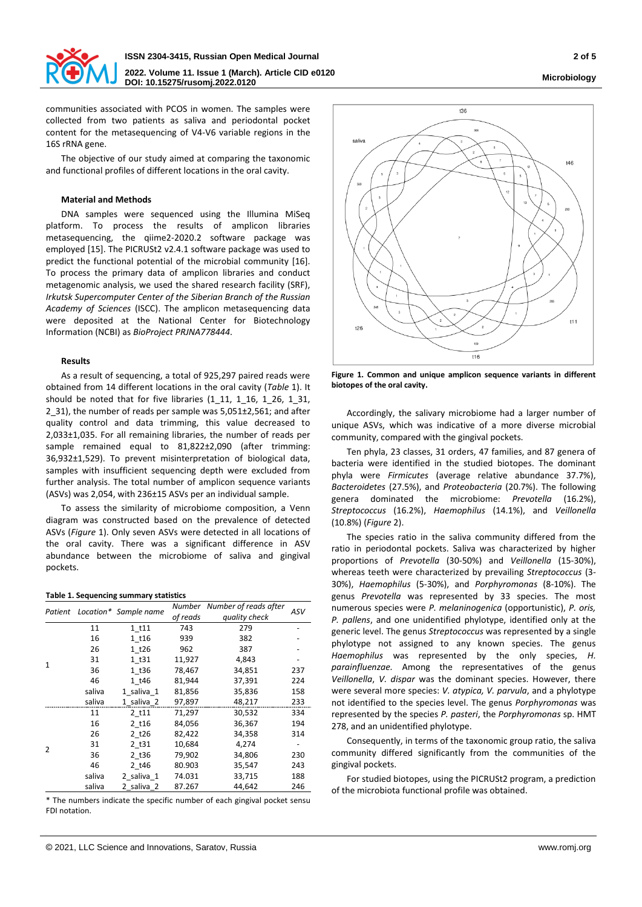

communities associated with PCOS in women. The samples were collected from two patients as saliva and periodontal pocket content for the metasequencing of V4-V6 variable regions in the 16S rRNA gene.

The objective of our study aimed at comparing the taxonomic and functional profiles of different locations in the oral cavity.

#### **Material and Methods**

DNA samples were sequenced using the Illumina MiSeq platform. To process the results of amplicon libraries metasequencing, the qiime2-2020.2 software package was employed [15]. The PICRUSt2 v2.4.1 software package was used to predict the functional potential of the microbial community [16]. To process the primary data of amplicon libraries and conduct metagenomic analysis, we used the shared research facility (SRF), *Irkutsk Supercomputer Center of the Siberian Branch of the Russian Academy of Sciences* (ISCC). The amplicon metasequencing data were deposited at the National Center for Biotechnology Information (NCBI) as *BioProject PRJNA778444*.

#### **Results**

As a result of sequencing, a total of 925,297 paired reads were obtained from 14 different locations in the oral cavity (*Table* 1). It should be noted that for five libraries  $(1\ 11, 1\ 16, 1\ 26, 1\ 31,$ 2\_31), the number of reads per sample was 5,051±2,561; and after quality control and data trimming, this value decreased to 2,033±1,035. For all remaining libraries, the number of reads per sample remained equal to 81,822±2,090 (after trimming: 36,932±1,529). To prevent misinterpretation of biological data, samples with insufficient sequencing depth were excluded from further analysis. The total number of amplicon sequence variants (ASVs) was 2,054, with 236±15 ASVs per an individual sample.

To assess the similarity of microbiome composition, a Venn diagram was constructed based on the prevalence of detected ASVs (*Figure* 1). Only seven ASVs were detected in all locations of the oral cavity. There was a significant difference in ASV abundance between the microbiome of saliva and gingival pockets.

#### **Table 1. Sequencing summary statistics**

|                |        | Patient Location* Sample name |          | Number Number of reads after | ASV |
|----------------|--------|-------------------------------|----------|------------------------------|-----|
|                |        |                               | of reads | quality check                |     |
| $\mathbf{1}$   | 11     | 1 t11                         | 743      | 279                          |     |
|                | 16     | 1 t16                         | 939      | 382                          |     |
|                | 26     | 1 t26                         | 962      | 387                          |     |
|                | 31     | 1 t31                         | 11,927   | 4,843                        |     |
|                | 36     | 1 t36                         | 78,467   | 34,851                       | 237 |
|                | 46     | 1 t46                         | 81,944   | 37,391                       | 224 |
|                | saliva | 1 saliva 1                    | 81,856   | 35,836                       | 158 |
|                | saliva | 1 saliva 2                    | 97,897   | 48,217                       | 233 |
| $\overline{2}$ | 11     | 2 t11                         | 71,297   | 30,532                       | 334 |
|                | 16     | 2 t16                         | 84,056   | 36,367                       | 194 |
|                | 26     | 2 t26                         | 82,422   | 34,358                       | 314 |
|                | 31     | 2 t31                         | 10,684   | 4,274                        |     |
|                | 36     | 2 t36                         | 79,902   | 34,806                       | 230 |
|                | 46     | $2$ t46                       | 80.903   | 35,547                       | 243 |
|                | saliva | 2 saliva 1                    | 74.031   | 33,715                       | 188 |
|                | saliva | 2 saliva 2                    | 87.267   | 44,642                       | 246 |

\* The numbers indicate the specific number of each gingival pocket sensu FDI notation.



**Figure 1. Common and unique amplicon sequence variants in different biotopes of the oral cavity.**

Accordingly, the salivary microbiome had a larger number of unique ASVs, which was indicative of a more diverse microbial community, compared with the gingival pockets.

Ten phyla, 23 classes, 31 orders, 47 families, and 87 genera of bacteria were identified in the studied biotopes. The dominant phyla were *Firmicutes* (average relative abundance 37.7%), *Bacteroidetes* (27.5%), and *Proteobacteria* (20.7%). The following genera dominated the microbiome: *Prevotella* (16.2%), *Streptococcus* (16.2%), *Haemophilus* (14.1%), and *Veillonella* (10.8%) (*Figure* 2).

The species ratio in the saliva community differed from the ratio in periodontal pockets. Saliva was characterized by higher proportions of *Prevotella* (30-50%) and *Veillonella* (15-30%), whereas teeth were characterized by prevailing *Streptococcus* (3- 30%), *Haemophilus* (5-30%), and *Porphyromonas* (8-10%). The genus *Prevotella* was represented by 33 species. The most numerous species were *P. melaninogenica* (opportunistic), *P. oris, P. pallens*, and one unidentified phylotype, identified only at the generic level. The genus *Streptococcus* was represented by a single phylotype not assigned to any known species. The genus *Haemophilus* was represented by the only species, *H. parainfluenzae.* Among the representatives of the genus *Veillonella*, *V. dispar* was the dominant species. However, there were several more species: *V. atypica, V. parvula*, and a phylotype not identified to the species level. The genus *Porphyromonas* was represented by the species *P. pasteri*, the *Porphyromonas* sp. HMT 278, and an unidentified phylotype.

Consequently, in terms of the taxonomic group ratio, the saliva community differed significantly from the communities of the gingival pockets.

For studied biotopes, using the PICRUSt2 program, a prediction of the microbiota functional profile was obtained.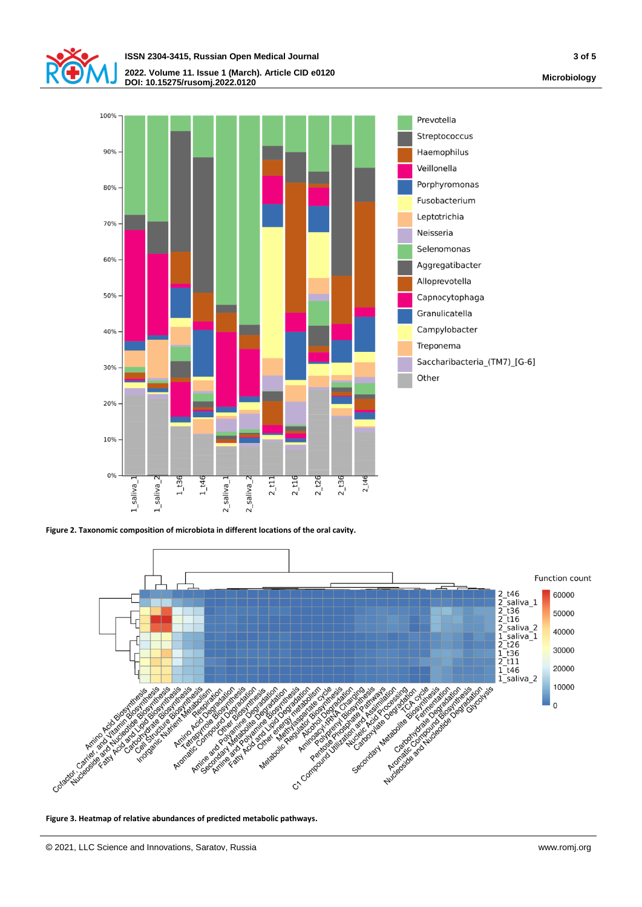





**Figure 2. Taxonomic composition of microbiota in different locations of the oral cavity.**



**Figure 3. Heatmap of relative abundances of predicted metabolic pathways.**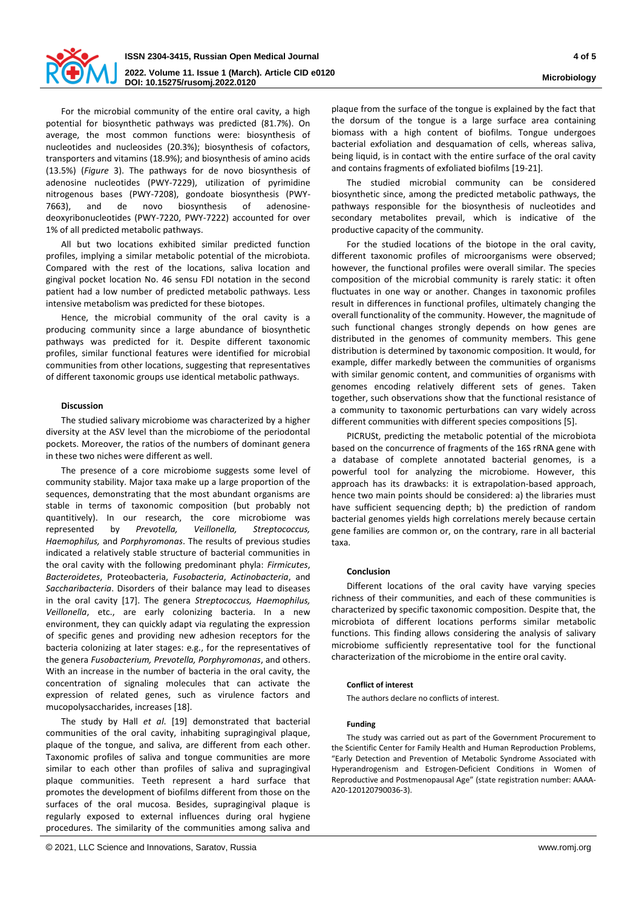

For the microbial community of the entire oral cavity, a high potential for biosynthetic pathways was predicted (81.7%). On average, the most common functions were: biosynthesis of nucleotides and nucleosides (20.3%); biosynthesis of cofactors, transporters and vitamins (18.9%); and biosynthesis of amino acids (13.5%) (*Figure* 3). The pathways for de novo biosynthesis of adenosine nucleotides (PWY-7229), utilization of pyrimidine nitrogenous bases (PWY-7208), gondoate biosynthesis (PWY-7663), and de novo biosynthesis of adenosinedeoxyribonucleotides (PWY-7220, PWY-7222) accounted for over 1% of all predicted metabolic pathways.

All but two locations exhibited similar predicted function profiles, implying a similar metabolic potential of the microbiota. Compared with the rest of the locations, saliva location and gingival pocket location No. 46 sensu FDI notation in the second patient had a low number of predicted metabolic pathways. Less intensive metabolism was predicted for these biotopes.

Hence, the microbial community of the oral cavity is a producing community since a large abundance of biosynthetic pathways was predicted for it. Despite different taxonomic profiles, similar functional features were identified for microbial communities from other locations, suggesting that representatives of different taxonomic groups use identical metabolic pathways.

## **Discussion**

The studied salivary microbiome was characterized by a higher diversity at the ASV level than the microbiome of the periodontal pockets. Moreover, the ratios of the numbers of dominant genera in these two niches were different as well.

The presence of a core microbiome suggests some level of community stability. Major taxa make up a large proportion of the sequences, demonstrating that the most abundant organisms are stable in terms of taxonomic composition (but probably not quantitively). In our research, the core microbiome was represented by *Prevotella, Veillonella, Streptococcus, Haemophilus,* and *Porphyromonas*. The results of previous studies indicated a relatively stable structure of bacterial communities in the oral cavity with the following predominant phyla: *Firmicutes*, *Bacteroidetes*, Proteobacteria, *Fusobacteria*, *Actinobacteria*, and *Saccharibacteria*. Disorders of their balance may lead to diseases in the oral cavity [17]. The genera *Streptococcus, Haemophilus, Veillonella*, etc., are early colonizing bacteria. In a new environment, they can quickly adapt via regulating the expression of specific genes and providing new adhesion receptors for the bacteria colonizing at later stages: e.g., for the representatives of the genera *Fusobacterium, Prevotella, Porphyromonas*, and others. With an increase in the number of bacteria in the oral cavity, the concentration of signaling molecules that can activate the expression of related genes, such as virulence factors and mucopolysaccharides, increases [18].

The study by Hall *et al*. [19] demonstrated that bacterial communities of the oral cavity, inhabiting supragingival plaque, plaque of the tongue, and saliva, are different from each other. Taxonomic profiles of saliva and tongue communities are more similar to each other than profiles of saliva and supragingival plaque communities. Teeth represent a hard surface that promotes the development of biofilms different from those on the surfaces of the oral mucosa. Besides, supragingival plaque is regularly exposed to external influences during oral hygiene procedures. The similarity of the communities among saliva and

plaque from the surface of the tongue is explained by the fact that the dorsum of the tongue is a large surface area containing biomass with a high content of biofilms. Tongue undergoes bacterial exfoliation and desquamation of cells, whereas saliva, being liquid, is in contact with the entire surface of the oral cavity and contains fragments of exfoliated biofilms [19-21].

The studied microbial community can be considered biosynthetic since, among the predicted metabolic pathways, the pathways responsible for the biosynthesis of nucleotides and secondary metabolites prevail, which is indicative of the productive capacity of the community.

For the studied locations of the biotope in the oral cavity, different taxonomic profiles of microorganisms were observed; however, the functional profiles were overall similar. The species composition of the microbial community is rarely static: it often fluctuates in one way or another. Changes in taxonomic profiles result in differences in functional profiles, ultimately changing the overall functionality of the community. However, the magnitude of such functional changes strongly depends on how genes are distributed in the genomes of community members. This gene distribution is determined by taxonomic composition. It would, for example, differ markedly between the communities of organisms with similar genomic content, and communities of organisms with genomes encoding relatively different sets of genes. Taken together, such observations show that the functional resistance of a community to taxonomic perturbations can vary widely across different communities with different species compositions [5].

PICRUSt, predicting the metabolic potential of the microbiota based on the concurrence of fragments of the 16S rRNA gene with a database of complete annotated bacterial genomes, is a powerful tool for analyzing the microbiome. However, this approach has its drawbacks: it is extrapolation-based approach, hence two main points should be considered: a) the libraries must have sufficient sequencing depth; b) the prediction of random bacterial genomes yields high correlations merely because certain gene families are common or, on the contrary, rare in all bacterial taxa.

# **Conclusion**

Different locations of the oral cavity have varying species richness of their communities, and each of these communities is characterized by specific taxonomic composition. Despite that, the microbiota of different locations performs similar metabolic functions. This finding allows considering the analysis of salivary microbiome sufficiently representative tool for the functional characterization of the microbiome in the entire oral cavity.

#### **Conflict of interest**

The authors declare no conflicts of interest.

#### **Funding**

The study was carried out as part of the Government Procurement to the Scientific Center for Family Health and Human Reproduction Problems, "Early Detection and Prevention of Metabolic Syndrome Associated with Hyperandrogenism and Estrogen-Deficient Conditions in Women of Reproductive and Postmenopausal Age" (state registration number: АААА-А20-120120790036-3).